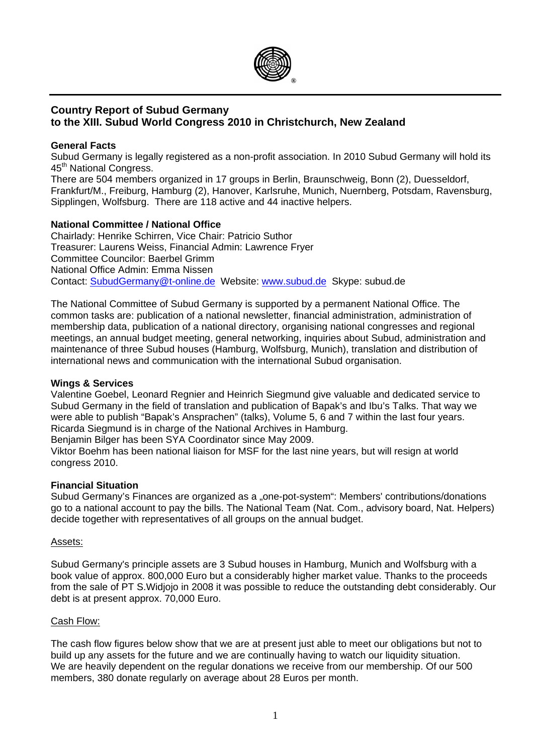

# **Country Report of Subud Germany to the XIII. Subud World Congress 2010 in Christchurch, New Zealand**

# **General Facts**

Subud Germany is legally registered as a non-profit association. In 2010 Subud Germany will hold its 45<sup>th</sup> National Congress.

There are 504 members organized in 17 groups in Berlin, Braunschweig, Bonn (2), Duesseldorf, Frankfurt/M., Freiburg, Hamburg (2), Hanover, Karlsruhe, Munich, Nuernberg, Potsdam, Ravensburg, Sipplingen, Wolfsburg. There are 118 active and 44 inactive helpers.

# **National Committee / National Office**

Chairlady: Henrike Schirren, Vice Chair: Patricio Suthor Treasurer: Laurens Weiss, Financial Admin: Lawrence Fryer Committee Councilor: Baerbel Grimm National Office Admin: Emma Nissen Contact: [SubudGermany@t-online.de](mailto:SubudGermany@t-online.de) Website: [www.subud.de](http://www.subud.de/) Skype: subud.de

The National Committee of Subud Germany is supported by a permanent National Office. The common tasks are: publication of a national newsletter, financial administration, administration of membership data, publication of a national directory, organising national congresses and regional meetings, an annual budget meeting, general networking, inquiries about Subud, administration and maintenance of three Subud houses (Hamburg, Wolfsburg, Munich), translation and distribution of international news and communication with the international Subud organisation.

# **Wings & Services**

Valentine Goebel, Leonard Regnier and Heinrich Siegmund give valuable and dedicated service to Subud Germany in the field of translation and publication of Bapak's and Ibu's Talks. That way we were able to publish "Bapak's Ansprachen" (talks), Volume 5, 6 and 7 within the last four years. Ricarda Siegmund is in charge of the National Archives in Hamburg.

Benjamin Bilger has been SYA Coordinator since May 2009.

Viktor Boehm has been national liaison for MSF for the last nine years, but will resign at world congress 2010.

# **Financial Situation**

Subud Germany's Finances are organized as a "one-pot-system": Members' contributions/donations go to a national account to pay the bills. The National Team (Nat. Com., advisory board, Nat. Helpers) decide together with representatives of all groups on the annual budget.

# Assets:

Subud Germany's principle assets are 3 Subud houses in Hamburg, Munich and Wolfsburg with a book value of approx. 800,000 Euro but a considerably higher market value. Thanks to the proceeds from the sale of PT S.Widjojo in 2008 it was possible to reduce the outstanding debt considerably. Our debt is at present approx. 70,000 Euro.

# Cash Flow:

The cash flow figures below show that we are at present just able to meet our obligations but not to build up any assets for the future and we are continually having to watch our liquidity situation. We are heavily dependent on the regular donations we receive from our membership. Of our 500 members, 380 donate regularly on average about 28 Euros per month.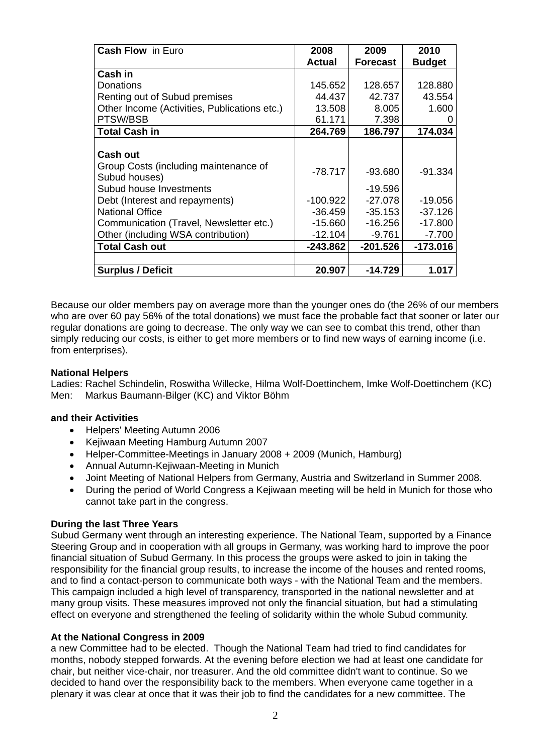| <b>Cash Flow in Euro</b>                     | 2008          | 2009            | 2010          |
|----------------------------------------------|---------------|-----------------|---------------|
|                                              | <b>Actual</b> | <b>Forecast</b> | <b>Budget</b> |
| Cash in                                      |               |                 |               |
| Donations                                    | 145.652       | 128.657         | 128.880       |
| Renting out of Subud premises                | 44.437        | 42.737          | 43.554        |
| Other Income (Activities, Publications etc.) | 13.508        | 8.005           | 1.600         |
| PTSW/BSB                                     | 61.171        | 7.398           | 0             |
| <b>Total Cash in</b>                         | 264.769       | 186.797         | 174.034       |
|                                              |               |                 |               |
| <b>Cash out</b>                              |               |                 |               |
| Group Costs (including maintenance of        | $-78.717$     | $-93.680$       | $-91.334$     |
| Subud houses)                                |               |                 |               |
| Subud house Investments                      |               | -19.596         |               |
| Debt (Interest and repayments)               | $-100.922$    | $-27.078$       | $-19.056$     |
| <b>National Office</b>                       | $-36.459$     | $-35.153$       | $-37.126$     |
| Communication (Travel, Newsletter etc.)      | $-15.660$     | $-16.256$       | $-17.800$     |
| Other (including WSA contribution)           | $-12.104$     | $-9.761$        | $-7.700$      |
| <b>Total Cash out</b>                        | $-243.862$    | $-201.526$      | $-173.016$    |
|                                              |               |                 |               |
| <b>Surplus / Deficit</b>                     | 20.907        | $-14.729$       | 1.017         |

Because our older members pay on average more than the younger ones do (the 26% of our members who are over 60 pay 56% of the total donations) we must face the probable fact that sooner or later our regular donations are going to decrease. The only way we can see to combat this trend, other than simply reducing our costs, is either to get more members or to find new ways of earning income (i.e. from enterprises).

# **National Helpers**

Ladies: Rachel Schindelin, Roswitha Willecke, Hilma Wolf-Doettinchem, Imke Wolf-Doettinchem (KC) Men: Markus Baumann-Bilger (KC) and Viktor Böhm

# **and their Activities**

- Helpers' Meeting Autumn 2006
- Kejiwaan Meeting Hamburg Autumn 2007
- Helper-Committee-Meetings in January 2008 + 2009 (Munich, Hamburg)
- Annual Autumn-Kejiwaan-Meeting in Munich
- Joint Meeting of National Helpers from Germany, Austria and Switzerland in Summer 2008.
- During the period of World Congress a Kejiwaan meeting will be held in Munich for those who cannot take part in the congress.

# **During the last Three Years**

Subud Germany went through an interesting experience. The National Team, supported by a Finance Steering Group and in cooperation with all groups in Germany, was working hard to improve the poor financial situation of Subud Germany. In this process the groups were asked to join in taking the responsibility for the financial group results, to increase the income of the houses and rented rooms, and to find a contact-person to communicate both ways - with the National Team and the members. This campaign included a high level of transparency, transported in the national newsletter and at many group visits. These measures improved not only the financial situation, but had a stimulating effect on everyone and strengthened the feeling of solidarity within the whole Subud community.

# **At the National Congress in 2009**

a new Committee had to be elected. Though the National Team had tried to find candidates for months, nobody stepped forwards. At the evening before election we had at least one candidate for chair, but neither vice-chair, nor treasurer. And the old committee didn't want to continue. So we decided to hand over the responsibility back to the members. When everyone came together in a plenary it was clear at once that it was their job to find the candidates for a new committee. The